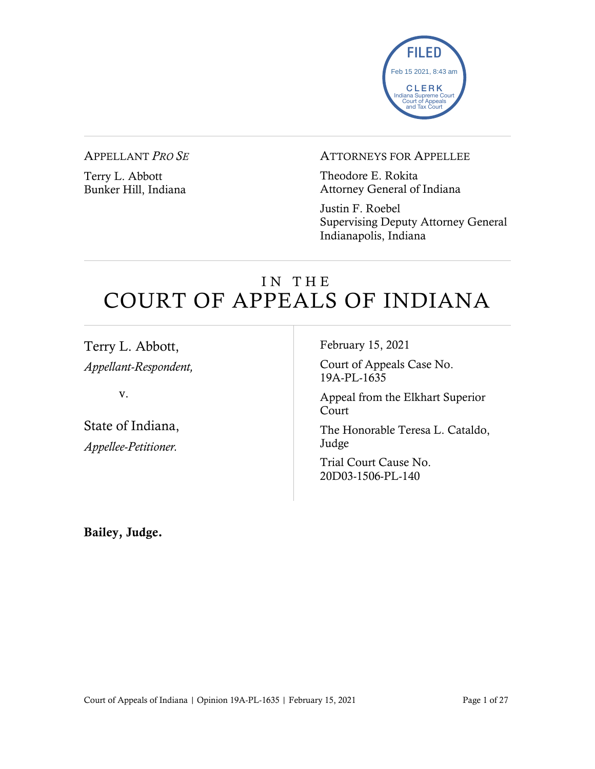

#### APPELLANT *PRO SE*

Terry L. Abbott Bunker Hill, Indiana

#### ATTORNEYS FOR APPELLEE

Theodore E. Rokita Attorney General of Indiana

Justin F. Roebel Supervising Deputy Attorney General Indianapolis, Indiana

# IN THE COURT OF APPEALS OF INDIANA

Terry L. Abbott, *Appellant-Respondent,*

v.

State of Indiana, *Appellee-Petitioner.*

February 15, 2021

Court of Appeals Case No. 19A-PL-1635

Appeal from the Elkhart Superior Court

The Honorable Teresa L. Cataldo, Judge

Trial Court Cause No. 20D03-1506-PL-140

Bailey, Judge.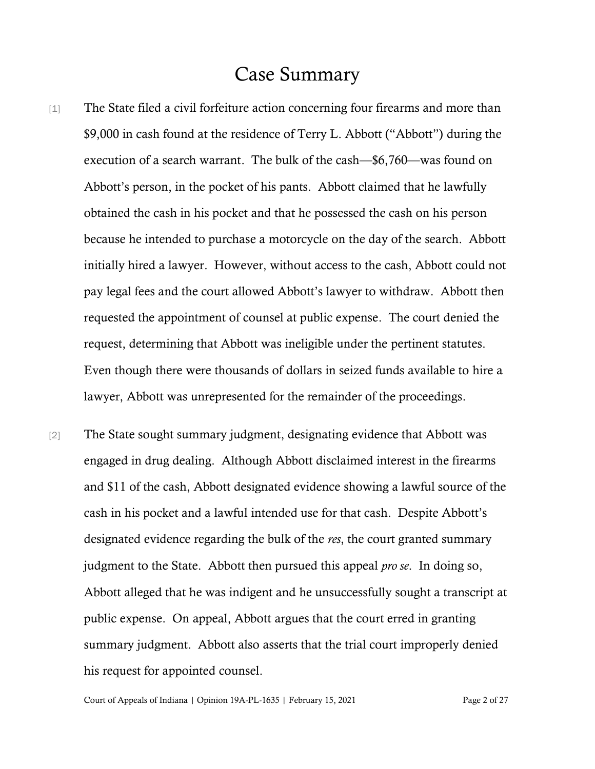## Case Summary

- [1] The State filed a civil forfeiture action concerning four firearms and more than \$9,000 in cash found at the residence of Terry L. Abbott ("Abbott") during the execution of a search warrant. The bulk of the cash—\$6,760—was found on Abbott's person, in the pocket of his pants. Abbott claimed that he lawfully obtained the cash in his pocket and that he possessed the cash on his person because he intended to purchase a motorcycle on the day of the search. Abbott initially hired a lawyer. However, without access to the cash, Abbott could not pay legal fees and the court allowed Abbott's lawyer to withdraw. Abbott then requested the appointment of counsel at public expense. The court denied the request, determining that Abbott was ineligible under the pertinent statutes. Even though there were thousands of dollars in seized funds available to hire a lawyer, Abbott was unrepresented for the remainder of the proceedings.
- [2] The State sought summary judgment, designating evidence that Abbott was engaged in drug dealing. Although Abbott disclaimed interest in the firearms and \$11 of the cash, Abbott designated evidence showing a lawful source of the cash in his pocket and a lawful intended use for that cash. Despite Abbott's designated evidence regarding the bulk of the *res*, the court granted summary judgment to the State. Abbott then pursued this appeal *pro se*. In doing so, Abbott alleged that he was indigent and he unsuccessfully sought a transcript at public expense. On appeal, Abbott argues that the court erred in granting summary judgment. Abbott also asserts that the trial court improperly denied his request for appointed counsel.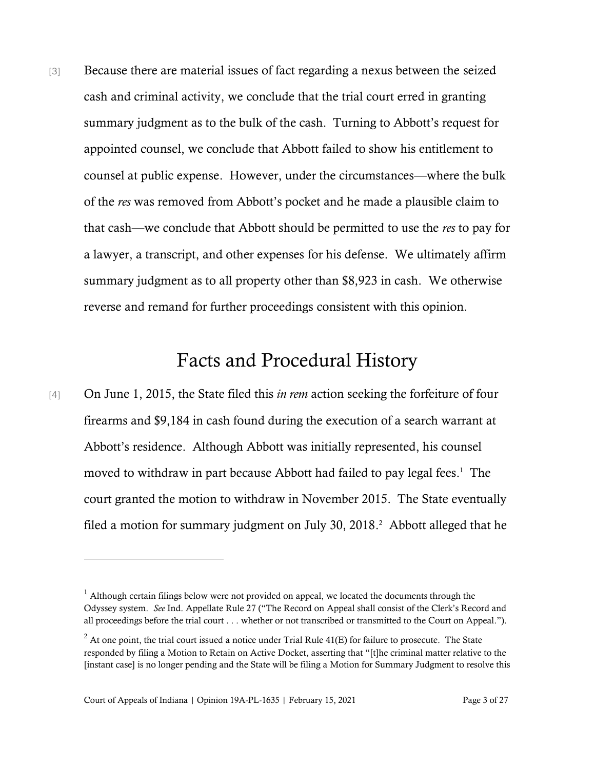[3] Because there are material issues of fact regarding a nexus between the seized cash and criminal activity, we conclude that the trial court erred in granting summary judgment as to the bulk of the cash. Turning to Abbott's request for appointed counsel, we conclude that Abbott failed to show his entitlement to counsel at public expense. However, under the circumstances—where the bulk of the *res* was removed from Abbott's pocket and he made a plausible claim to that cash—we conclude that Abbott should be permitted to use the *res* to pay for a lawyer, a transcript, and other expenses for his defense. We ultimately affirm summary judgment as to all property other than \$8,923 in cash. We otherwise reverse and remand for further proceedings consistent with this opinion.

## Facts and Procedural History

[4] On June 1, 2015, the State filed this *in rem* action seeking the forfeiture of four firearms and \$9,184 in cash found during the execution of a search warrant at Abbott's residence. Although Abbott was initially represented, his counsel moved to withdraw in part because Abbott had failed to pay legal fees. 1 The court granted the motion to withdraw in November 2015. The State eventually filed a motion for summary judgment on July 30, 2018. 2 Abbott alleged that he

 $<sup>1</sup>$  Although certain filings below were not provided on appeal, we located the documents through the</sup> Odyssey system. *See* Ind. Appellate Rule 27 ("The Record on Appeal shall consist of the Clerk's Record and all proceedings before the trial court . . . whether or not transcribed or transmitted to the Court on Appeal.").

 $2$  At one point, the trial court issued a notice under Trial Rule 41(E) for failure to prosecute. The State responded by filing a Motion to Retain on Active Docket, asserting that "[t]he criminal matter relative to the [instant case] is no longer pending and the State will be filing a Motion for Summary Judgment to resolve this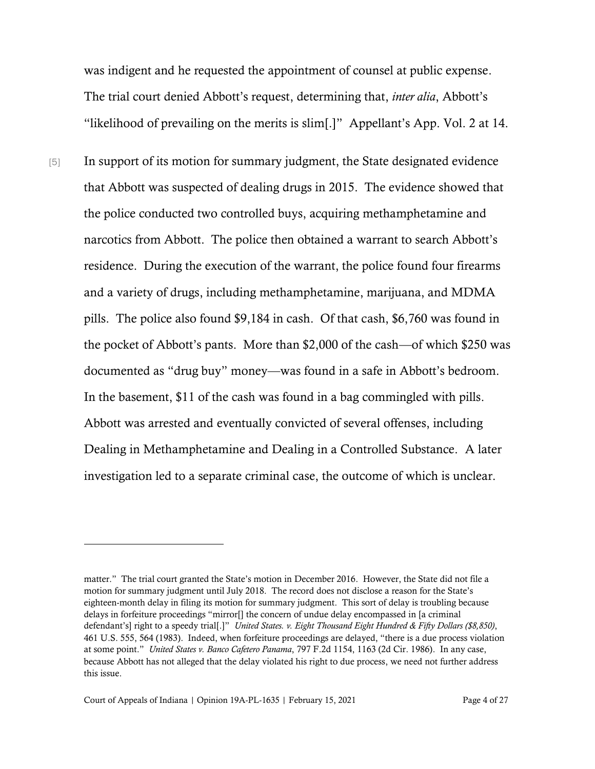was indigent and he requested the appointment of counsel at public expense. The trial court denied Abbott's request, determining that, *inter alia*, Abbott's "likelihood of prevailing on the merits is slim[.]" Appellant's App. Vol. 2 at 14.

[5] In support of its motion for summary judgment, the State designated evidence that Abbott was suspected of dealing drugs in 2015. The evidence showed that the police conducted two controlled buys, acquiring methamphetamine and narcotics from Abbott. The police then obtained a warrant to search Abbott's residence. During the execution of the warrant, the police found four firearms and a variety of drugs, including methamphetamine, marijuana, and MDMA pills. The police also found \$9,184 in cash. Of that cash, \$6,760 was found in the pocket of Abbott's pants. More than \$2,000 of the cash—of which \$250 was documented as "drug buy" money—was found in a safe in Abbott's bedroom. In the basement, \$11 of the cash was found in a bag commingled with pills. Abbott was arrested and eventually convicted of several offenses, including Dealing in Methamphetamine and Dealing in a Controlled Substance. A later investigation led to a separate criminal case, the outcome of which is unclear.

matter." The trial court granted the State's motion in December 2016. However, the State did not file a motion for summary judgment until July 2018. The record does not disclose a reason for the State's eighteen-month delay in filing its motion for summary judgment. This sort of delay is troubling because delays in forfeiture proceedings "mirror[] the concern of undue delay encompassed in [a criminal defendant's] right to a speedy trial[.]" *United States. v. Eight Thousand Eight Hundred & Fifty Dollars (\$8,850)*, 461 U.S. 555, 564 (1983). Indeed, when forfeiture proceedings are delayed, "there is a due process violation at some point." *United States v. Banco Cafetero Panama*, 797 F.2d 1154, 1163 (2d Cir. 1986). In any case, because Abbott has not alleged that the delay violated his right to due process, we need not further address this issue.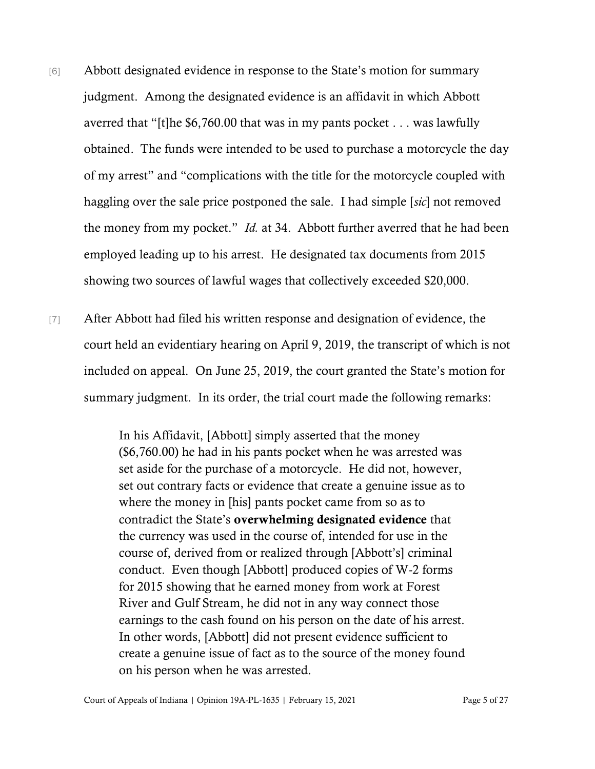- [6] Abbott designated evidence in response to the State's motion for summary judgment. Among the designated evidence is an affidavit in which Abbott averred that "[t]he \$6,760.00 that was in my pants pocket . . . was lawfully obtained. The funds were intended to be used to purchase a motorcycle the day of my arrest" and "complications with the title for the motorcycle coupled with haggling over the sale price postponed the sale. I had simple [*sic*] not removed the money from my pocket." *Id.* at 34. Abbott further averred that he had been employed leading up to his arrest. He designated tax documents from 2015 showing two sources of lawful wages that collectively exceeded \$20,000.
- [7] After Abbott had filed his written response and designation of evidence, the court held an evidentiary hearing on April 9, 2019, the transcript of which is not included on appeal. On June 25, 2019, the court granted the State's motion for summary judgment. In its order, the trial court made the following remarks:

In his Affidavit, [Abbott] simply asserted that the money (\$6,760.00) he had in his pants pocket when he was arrested was set aside for the purchase of a motorcycle. He did not, however, set out contrary facts or evidence that create a genuine issue as to where the money in [his] pants pocket came from so as to contradict the State's overwhelming designated evidence that the currency was used in the course of, intended for use in the course of, derived from or realized through [Abbott's] criminal conduct. Even though [Abbott] produced copies of W-2 forms for 2015 showing that he earned money from work at Forest River and Gulf Stream, he did not in any way connect those earnings to the cash found on his person on the date of his arrest. In other words, [Abbott] did not present evidence sufficient to create a genuine issue of fact as to the source of the money found on his person when he was arrested.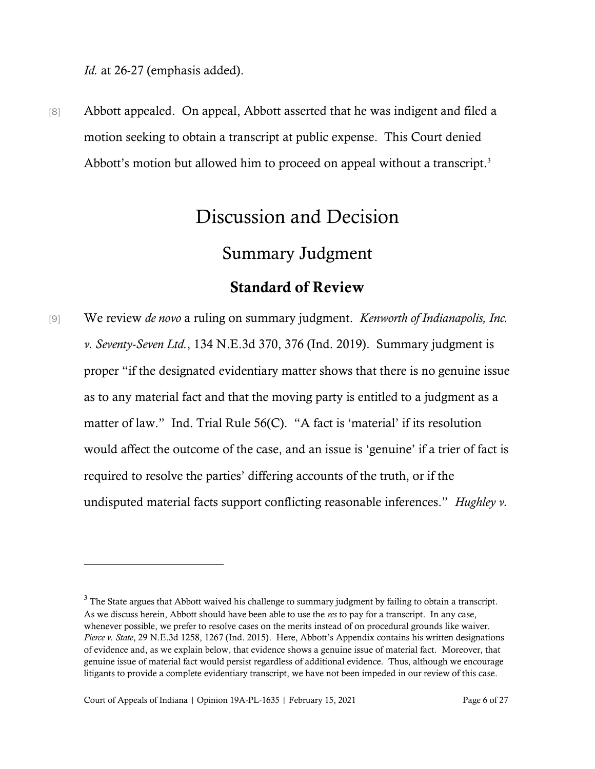*Id.* at 26-27 (emphasis added).

[8] Abbott appealed. On appeal, Abbott asserted that he was indigent and filed a motion seeking to obtain a transcript at public expense. This Court denied Abbott's motion but allowed him to proceed on appeal without a transcript.<sup>3</sup>

# Discussion and Decision

### Summary Judgment

### Standard of Review

[9] We review *de novo* a ruling on summary judgment. *Kenworth of Indianapolis, Inc. v. Seventy-Seven Ltd.*, 134 N.E.3d 370, 376 (Ind. 2019). Summary judgment is proper "if the designated evidentiary matter shows that there is no genuine issue as to any material fact and that the moving party is entitled to a judgment as a matter of law." Ind. Trial Rule 56(C). "A fact is 'material' if its resolution would affect the outcome of the case, and an issue is 'genuine' if a trier of fact is required to resolve the parties' differing accounts of the truth, or if the undisputed material facts support conflicting reasonable inferences." *Hughley v.* 

<sup>&</sup>lt;sup>3</sup> The State argues that Abbott waived his challenge to summary judgment by failing to obtain a transcript. As we discuss herein, Abbott should have been able to use the *res* to pay for a transcript. In any case, whenever possible, we prefer to resolve cases on the merits instead of on procedural grounds like waiver. *Pierce v. State*, 29 N.E.3d 1258, 1267 (Ind. 2015). Here, Abbott's Appendix contains his written designations of evidence and, as we explain below, that evidence shows a genuine issue of material fact. Moreover, that genuine issue of material fact would persist regardless of additional evidence. Thus, although we encourage litigants to provide a complete evidentiary transcript, we have not been impeded in our review of this case.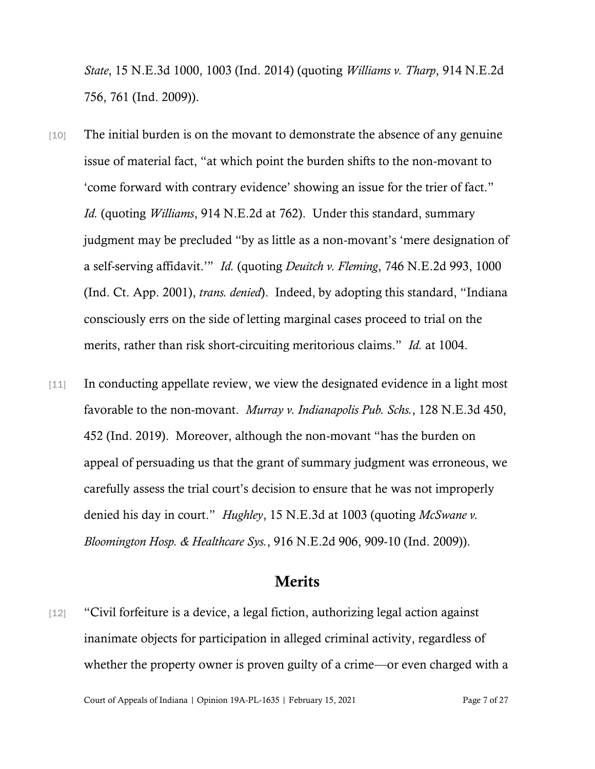*State*, 15 N.E.3d 1000, 1003 (Ind. 2014) (quoting *Williams v. Tharp*, 914 N.E.2d 756, 761 (Ind. 2009)).

- [10] The initial burden is on the movant to demonstrate the absence of any genuine issue of material fact, "at which point the burden shifts to the non-movant to 'come forward with contrary evidence' showing an issue for the trier of fact." *Id.* (quoting *Williams*, 914 N.E.2d at 762). Under this standard, summary judgment may be precluded "by as little as a non-movant's 'mere designation of a self-serving affidavit.'" *Id.* (quoting *Deuitch v. Fleming*, 746 N.E.2d 993, 1000 (Ind. Ct. App. 2001), *trans. denied*). Indeed, by adopting this standard, "Indiana consciously errs on the side of letting marginal cases proceed to trial on the merits, rather than risk short-circuiting meritorious claims." *Id.* at 1004.
- [11] In conducting appellate review, we view the designated evidence in a light most favorable to the non-movant. *Murray v. Indianapolis Pub. Schs.*, 128 N.E.3d 450, 452 (Ind. 2019). Moreover, although the non-movant "has the burden on appeal of persuading us that the grant of summary judgment was erroneous, we carefully assess the trial court's decision to ensure that he was not improperly denied his day in court." *Hughley*, 15 N.E.3d at 1003 (quoting *McSwane v. Bloomington Hosp. & Healthcare Sys.*, 916 N.E.2d 906, 909-10 (Ind. 2009)).

### Merits

[12] "Civil forfeiture is a device, a legal fiction, authorizing legal action against inanimate objects for participation in alleged criminal activity, regardless of whether the property owner is proven guilty of a crime—or even charged with a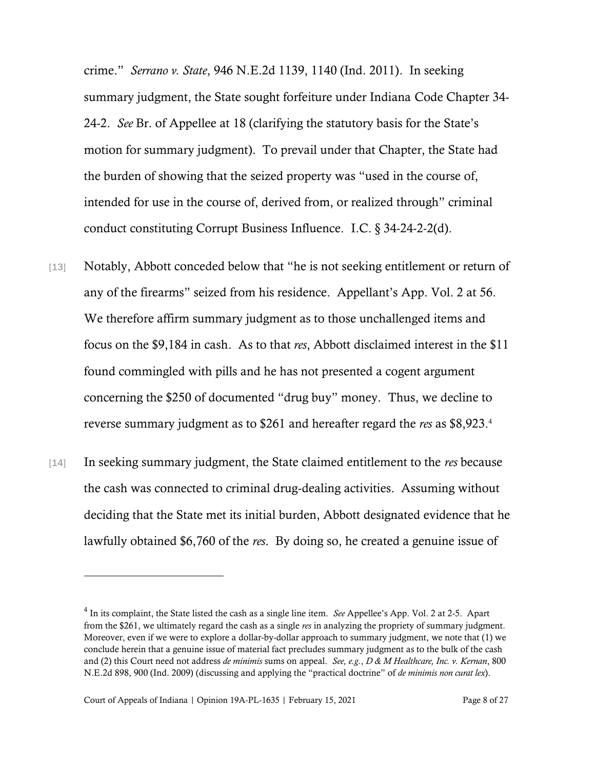crime." *Serrano v. State*, 946 N.E.2d 1139, 1140 (Ind. 2011). In seeking summary judgment, the State sought forfeiture under Indiana Code Chapter 34- 24-2. *See* Br. of Appellee at 18 (clarifying the statutory basis for the State's motion for summary judgment). To prevail under that Chapter, the State had the burden of showing that the seized property was "used in the course of, intended for use in the course of, derived from, or realized through" criminal conduct constituting Corrupt Business Influence. I.C. § 34-24-2-2(d).

- [13] Notably, Abbott conceded below that "he is not seeking entitlement or return of any of the firearms" seized from his residence. Appellant's App. Vol. 2 at 56. We therefore affirm summary judgment as to those unchallenged items and focus on the \$9,184 in cash. As to that *res*, Abbott disclaimed interest in the \$11 found commingled with pills and he has not presented a cogent argument concerning the \$250 of documented "drug buy" money. Thus, we decline to reverse summary judgment as to \$261 and hereafter regard the *res* as \$8,923. 4
- [14] In seeking summary judgment, the State claimed entitlement to the *res* because the cash was connected to criminal drug-dealing activities. Assuming without deciding that the State met its initial burden, Abbott designated evidence that he lawfully obtained \$6,760 of the *res*. By doing so, he created a genuine issue of

<sup>4</sup> In its complaint, the State listed the cash as a single line item. *See* Appellee's App. Vol. 2 at 2-5. Apart from the \$261, we ultimately regard the cash as a single *res* in analyzing the propriety of summary judgment. Moreover, even if we were to explore a dollar-by-dollar approach to summary judgment, we note that (1) we conclude herein that a genuine issue of material fact precludes summary judgment as to the bulk of the cash and (2) this Court need not address *de minimis* sums on appeal. *See, e.g.*, *D & M Healthcare, Inc. v. Kernan*, 800 N.E.2d 898, 900 (Ind. 2009) (discussing and applying the "practical doctrine" of *de minimis non curat lex*).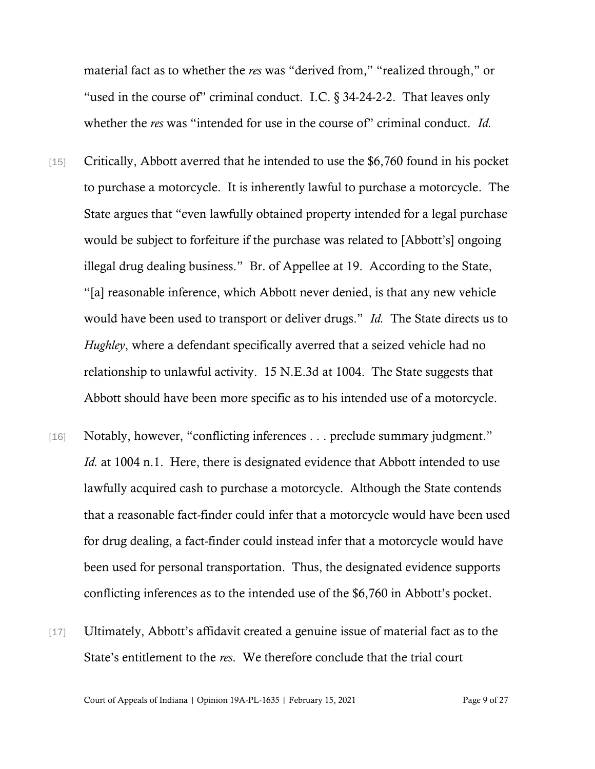material fact as to whether the *res* was "derived from," "realized through," or "used in the course of" criminal conduct. I.C. § 34-24-2-2. That leaves only whether the *res* was "intended for use in the course of" criminal conduct. *Id.* 

- [15] Critically, Abbott averred that he intended to use the \$6,760 found in his pocket to purchase a motorcycle. It is inherently lawful to purchase a motorcycle. The State argues that "even lawfully obtained property intended for a legal purchase would be subject to forfeiture if the purchase was related to [Abbott's] ongoing illegal drug dealing business." Br. of Appellee at 19. According to the State, "[a] reasonable inference, which Abbott never denied, is that any new vehicle would have been used to transport or deliver drugs." *Id.* The State directs us to *Hughley*, where a defendant specifically averred that a seized vehicle had no relationship to unlawful activity. 15 N.E.3d at 1004. The State suggests that Abbott should have been more specific as to his intended use of a motorcycle.
- [16] Notably, however, "conflicting inferences . . . preclude summary judgment." *Id.* at 1004 n.1. Here, there is designated evidence that Abbott intended to use lawfully acquired cash to purchase a motorcycle. Although the State contends that a reasonable fact-finder could infer that a motorcycle would have been used for drug dealing, a fact-finder could instead infer that a motorcycle would have been used for personal transportation. Thus, the designated evidence supports conflicting inferences as to the intended use of the \$6,760 in Abbott's pocket.
- [17] Ultimately, Abbott's affidavit created a genuine issue of material fact as to the State's entitlement to the *res*. We therefore conclude that the trial court

Court of Appeals of Indiana | Opinion 19A-PL-1635 | February 15, 2021 Page 9 of 27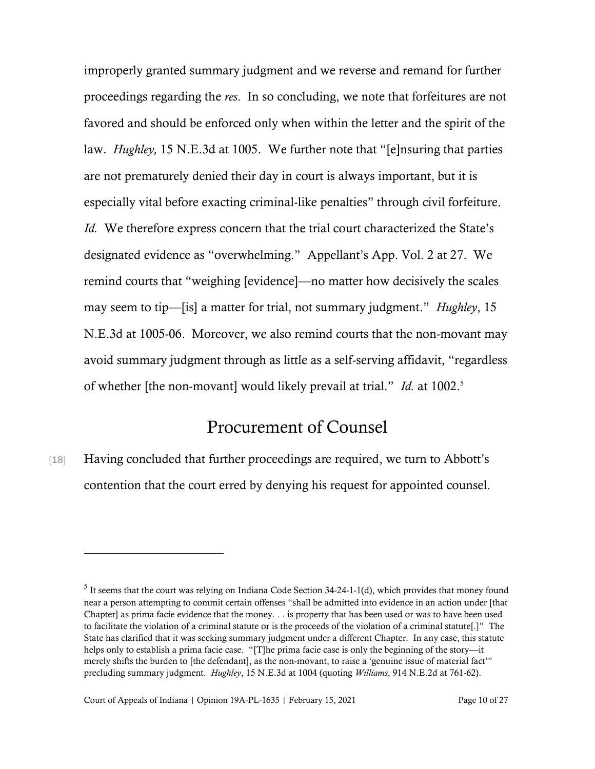improperly granted summary judgment and we reverse and remand for further proceedings regarding the *res*. In so concluding, we note that forfeitures are not favored and should be enforced only when within the letter and the spirit of the law. *Hughley,* 15 N.E.3d at 1005. We further note that "[e]nsuring that parties are not prematurely denied their day in court is always important, but it is especially vital before exacting criminal-like penalties" through civil forfeiture. *Id.* We therefore express concern that the trial court characterized the State's designated evidence as "overwhelming." Appellant's App. Vol. 2 at 27. We remind courts that "weighing [evidence]—no matter how decisively the scales may seem to tip—[is] a matter for trial, not summary judgment." *Hughley*, 15 N.E.3d at 1005-06. Moreover, we also remind courts that the non-movant may avoid summary judgment through as little as a self-serving affidavit, "regardless of whether [the non-movant] would likely prevail at trial." *Id.* at 1002. 5

## Procurement of Counsel

[18] Having concluded that further proceedings are required, we turn to Abbott's contention that the court erred by denying his request for appointed counsel.

 $<sup>5</sup>$  It seems that the court was relying on Indiana Code Section 34-24-1-1(d), which provides that money found</sup> near a person attempting to commit certain offenses "shall be admitted into evidence in an action under [that Chapter] as prima facie evidence that the money. . . is property that has been used or was to have been used to facilitate the violation of a criminal statute or is the proceeds of the violation of a criminal statute[.]" The State has clarified that it was seeking summary judgment under a different Chapter. In any case, this statute helps only to establish a prima facie case. "[T]he prima facie case is only the beginning of the story—it merely shifts the burden to [the defendant], as the non-movant, to raise a 'genuine issue of material fact'" precluding summary judgment. *Hughley*, 15 N.E.3d at 1004 (quoting *Williams*, 914 N.E.2d at 761-62).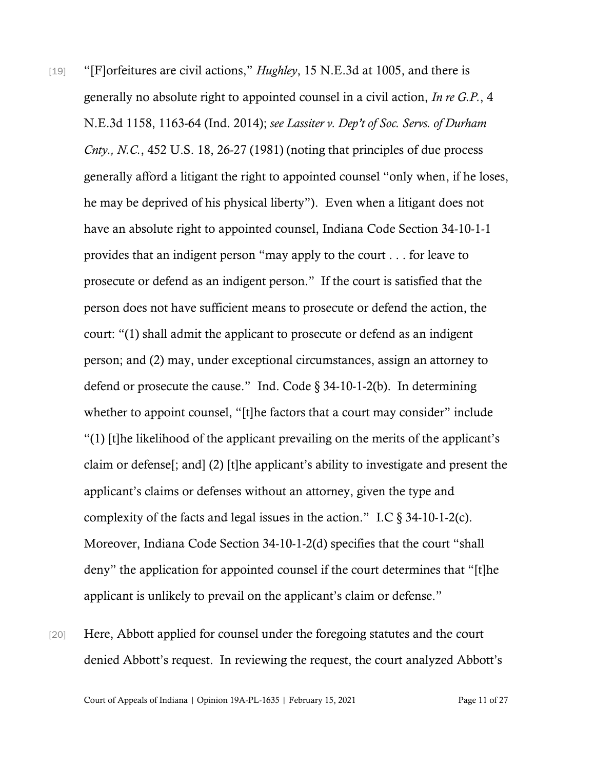- [19] "[F]orfeitures are civil actions," *Hughley*, 15 N.E.3d at 1005, and there is generally no absolute right to appointed counsel in a civil action, *In re G.P.*, 4 N.E.3d 1158, 1163-64 (Ind. 2014); *see Lassiter v. Dep't of Soc. Servs. of Durham Cnty., N.C.*, 452 U.S. 18, 26-27 (1981) (noting that principles of due process generally afford a litigant the right to appointed counsel "only when, if he loses, he may be deprived of his physical liberty"). Even when a litigant does not have an absolute right to appointed counsel, Indiana Code Section 34-10-1-1 provides that an indigent person "may apply to the court . . . for leave to prosecute or defend as an indigent person." If the court is satisfied that the person does not have sufficient means to prosecute or defend the action, the court: "(1) shall admit the applicant to prosecute or defend as an indigent person; and (2) may, under exceptional circumstances, assign an attorney to defend or prosecute the cause." Ind. Code  $\S$  34-10-1-2(b). In determining whether to appoint counsel, "[t]he factors that a court may consider" include "(1) [t]he likelihood of the applicant prevailing on the merits of the applicant's claim or defense[; and] (2) [t]he applicant's ability to investigate and present the applicant's claims or defenses without an attorney, given the type and complexity of the facts and legal issues in the action." I.C  $\S$  34-10-1-2(c). Moreover, Indiana Code Section 34-10-1-2(d) specifies that the court "shall deny" the application for appointed counsel if the court determines that "[t]he applicant is unlikely to prevail on the applicant's claim or defense."
- [20] Here, Abbott applied for counsel under the foregoing statutes and the court denied Abbott's request. In reviewing the request, the court analyzed Abbott's

Court of Appeals of Indiana | Opinion 19A-PL-1635 | February 15, 2021 Page 11 of 27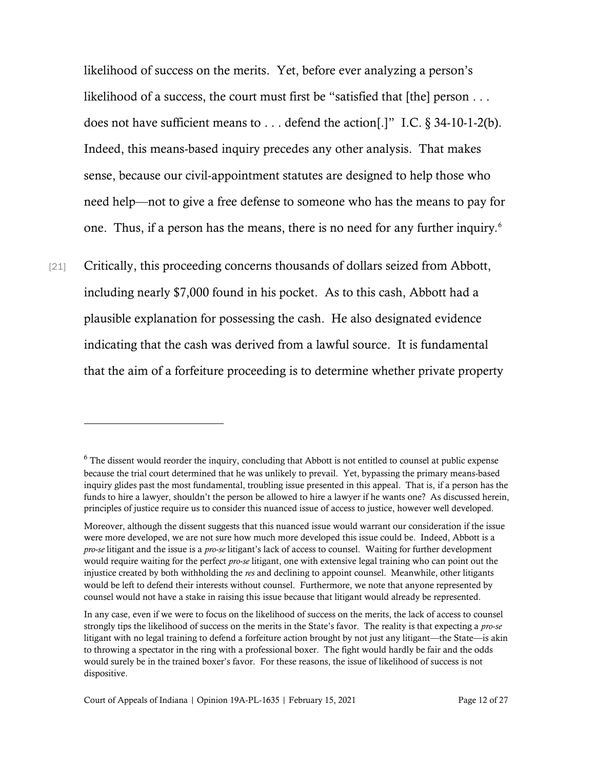likelihood of success on the merits. Yet, before ever analyzing a person's likelihood of a success, the court must first be "satisfied that [the] person . . . does not have sufficient means to . . . defend the action[.]" I.C. § 34-10-1-2(b). Indeed, this means-based inquiry precedes any other analysis. That makes sense, because our civil-appointment statutes are designed to help those who need help—not to give a free defense to someone who has the means to pay for one. Thus, if a person has the means, there is no need for any further inquiry*.* 6

[21] Critically, this proceeding concerns thousands of dollars seized from Abbott, including nearly \$7,000 found in his pocket. As to this cash, Abbott had a plausible explanation for possessing the cash. He also designated evidence indicating that the cash was derived from a lawful source. It is fundamental that the aim of a forfeiture proceeding is to determine whether private property

<sup>&</sup>lt;sup>6</sup> The dissent would reorder the inquiry, concluding that Abbott is not entitled to counsel at public expense because the trial court determined that he was unlikely to prevail. Yet, bypassing the primary means-based inquiry glides past the most fundamental, troubling issue presented in this appeal. That is, if a person has the funds to hire a lawyer, shouldn't the person be allowed to hire a lawyer if he wants one? As discussed herein, principles of justice require us to consider this nuanced issue of access to justice, however well developed.

Moreover, although the dissent suggests that this nuanced issue would warrant our consideration if the issue were more developed, we are not sure how much more developed this issue could be. Indeed, Abbott is a *pro*-*se* litigant and the issue is a *pro*-*se* litigant's lack of access to counsel. Waiting for further development would require waiting for the perfect *pro*-*se* litigant, one with extensive legal training who can point out the injustice created by both withholding the *res* and declining to appoint counsel. Meanwhile, other litigants would be left to defend their interests without counsel. Furthermore, we note that anyone represented by counsel would not have a stake in raising this issue because that litigant would already be represented.

In any case, even if we were to focus on the likelihood of success on the merits, the lack of access to counsel strongly tips the likelihood of success on the merits in the State's favor. The reality is that expecting a *pro*-*se* litigant with no legal training to defend a forfeiture action brought by not just any litigant—the State—is akin to throwing a spectator in the ring with a professional boxer. The fight would hardly be fair and the odds would surely be in the trained boxer's favor. For these reasons, the issue of likelihood of success is not dispositive.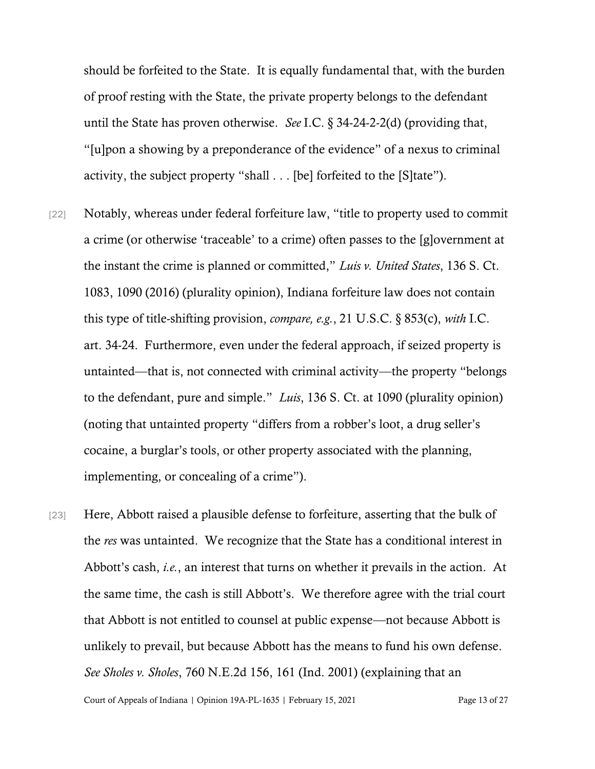should be forfeited to the State. It is equally fundamental that, with the burden of proof resting with the State, the private property belongs to the defendant until the State has proven otherwise. *See* I.C. § 34-24-2-2(d) (providing that, "[u]pon a showing by a preponderance of the evidence" of a nexus to criminal activity, the subject property "shall . . . [be] forfeited to the [S]tate").

- [22] Notably, whereas under federal forfeiture law, "title to property used to commit a crime (or otherwise 'traceable' to a crime) often passes to the [g]overnment at the instant the crime is planned or committed," *Luis v. United States*, 136 S. Ct. 1083, 1090 (2016) (plurality opinion), Indiana forfeiture law does not contain this type of title-shifting provision, *compare, e.g.*, 21 U.S.C. § 853(c), *with* I.C. art. 34-24. Furthermore, even under the federal approach, if seized property is untainted—that is, not connected with criminal activity—the property "belongs to the defendant, pure and simple." *Luis*, 136 S. Ct. at 1090 (plurality opinion) (noting that untainted property "differs from a robber's loot, a drug seller's cocaine, a burglar's tools, or other property associated with the planning, implementing, or concealing of a crime").
- Court of Appeals of Indiana | Opinion 19A-PL-1635 | February 15, 2021 Page 13 of 27 [23] Here, Abbott raised a plausible defense to forfeiture, asserting that the bulk of the *res* was untainted. We recognize that the State has a conditional interest in Abbott's cash, *i.e.*, an interest that turns on whether it prevails in the action. At the same time, the cash is still Abbott's. We therefore agree with the trial court that Abbott is not entitled to counsel at public expense—not because Abbott is unlikely to prevail, but because Abbott has the means to fund his own defense. *See Sholes v. Sholes*, 760 N.E.2d 156, 161 (Ind. 2001) (explaining that an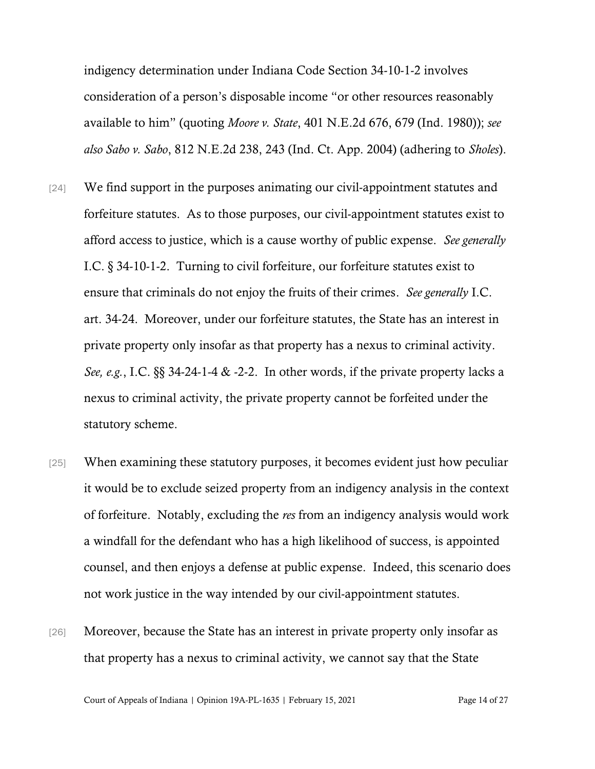indigency determination under Indiana Code Section 34-10-1-2 involves consideration of a person's disposable income "or other resources reasonably available to him" (quoting *Moore v. State*, 401 N.E.2d 676, 679 (Ind. 1980)); *see also Sabo v. Sabo*, 812 N.E.2d 238, 243 (Ind. Ct. App. 2004) (adhering to *Sholes*).

- [24] We find support in the purposes animating our civil-appointment statutes and forfeiture statutes. As to those purposes, our civil-appointment statutes exist to afford access to justice, which is a cause worthy of public expense. *See generally* I.C. § 34-10-1-2. Turning to civil forfeiture, our forfeiture statutes exist to ensure that criminals do not enjoy the fruits of their crimes. *See generally* I.C. art. 34-24. Moreover, under our forfeiture statutes, the State has an interest in private property only insofar as that property has a nexus to criminal activity. *See, e.g.*, I.C. §§ 34-24-1-4 & -2-2. In other words, if the private property lacks a nexus to criminal activity, the private property cannot be forfeited under the statutory scheme.
- [25] When examining these statutory purposes, it becomes evident just how peculiar it would be to exclude seized property from an indigency analysis in the context of forfeiture. Notably, excluding the *res* from an indigency analysis would work a windfall for the defendant who has a high likelihood of success, is appointed counsel, and then enjoys a defense at public expense. Indeed, this scenario does not work justice in the way intended by our civil-appointment statutes.
- [26] Moreover, because the State has an interest in private property only insofar as that property has a nexus to criminal activity, we cannot say that the State

Court of Appeals of Indiana | Opinion 19A-PL-1635 | February 15, 2021 Page 14 of 27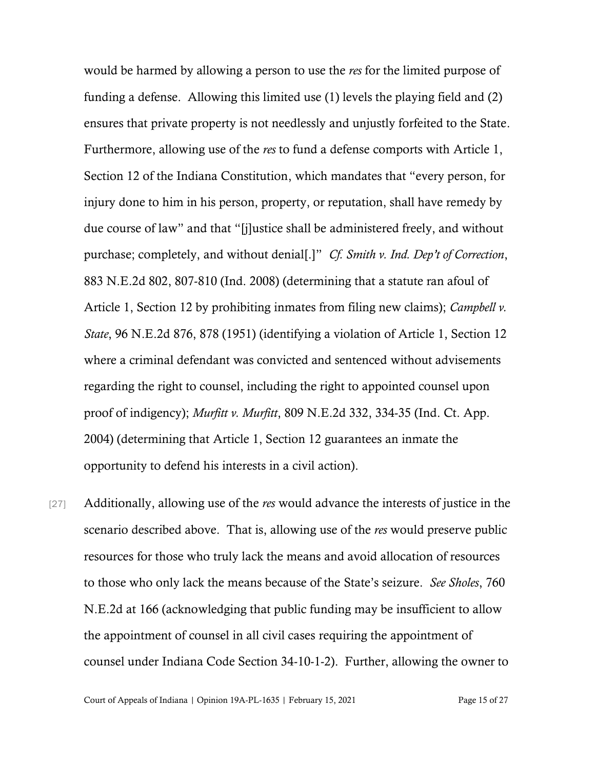would be harmed by allowing a person to use the *res* for the limited purpose of funding a defense. Allowing this limited use (1) levels the playing field and (2) ensures that private property is not needlessly and unjustly forfeited to the State. Furthermore, allowing use of the *res* to fund a defense comports with Article 1, Section 12 of the Indiana Constitution, which mandates that "every person, for injury done to him in his person, property, or reputation, shall have remedy by due course of law" and that "[j]ustice shall be administered freely, and without purchase; completely, and without denial[.]" *Cf. Smith v. Ind. Dep't of Correction*, 883 N.E.2d 802, 807-810 (Ind. 2008) (determining that a statute ran afoul of Article 1, Section 12 by prohibiting inmates from filing new claims); *Campbell v. State*, 96 N.E.2d 876, 878 (1951) (identifying a violation of Article 1, Section 12 where a criminal defendant was convicted and sentenced without advisements regarding the right to counsel, including the right to appointed counsel upon proof of indigency); *Murfitt v. Murfitt*, 809 N.E.2d 332, 334-35 (Ind. Ct. App. 2004) (determining that Article 1, Section 12 guarantees an inmate the opportunity to defend his interests in a civil action).

[27] Additionally, allowing use of the *res* would advance the interests of justice in the scenario described above. That is, allowing use of the *res* would preserve public resources for those who truly lack the means and avoid allocation of resources to those who only lack the means because of the State's seizure. *See Sholes*, 760 N.E.2d at 166 (acknowledging that public funding may be insufficient to allow the appointment of counsel in all civil cases requiring the appointment of counsel under Indiana Code Section 34-10-1-2). Further, allowing the owner to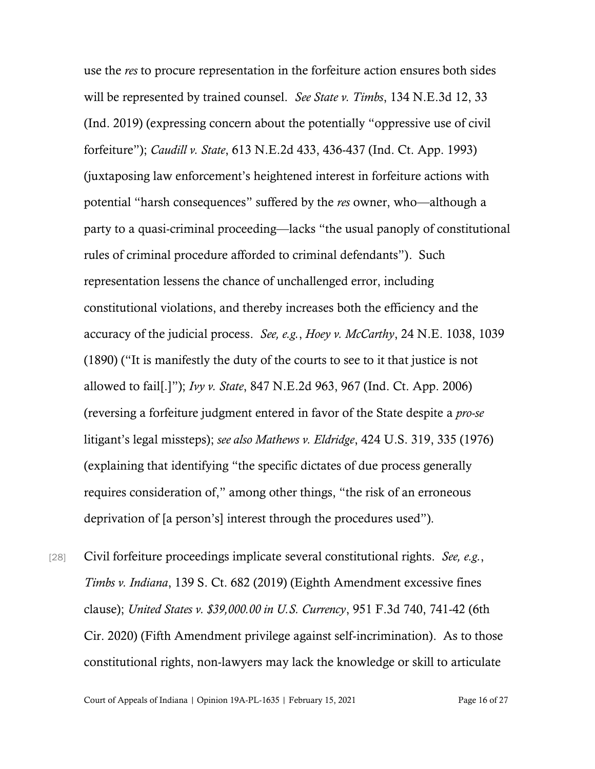use the *res* to procure representation in the forfeiture action ensures both sides will be represented by trained counsel. *See State v. Timbs*, 134 N.E.3d 12, 33 (Ind. 2019) (expressing concern about the potentially "oppressive use of civil forfeiture"); *Caudill v. State*, 613 N.E.2d 433, 436-437 (Ind. Ct. App. 1993) (juxtaposing law enforcement's heightened interest in forfeiture actions with potential "harsh consequences" suffered by the *res* owner, who—although a party to a quasi-criminal proceeding—lacks "the usual panoply of constitutional rules of criminal procedure afforded to criminal defendants"). Such representation lessens the chance of unchallenged error, including constitutional violations, and thereby increases both the efficiency and the accuracy of the judicial process. *See, e.g.*, *Hoey v. McCarthy*, 24 N.E. 1038, 1039 (1890) ("It is manifestly the duty of the courts to see to it that justice is not allowed to fail[.]"); *Ivy v. State*, 847 N.E.2d 963, 967 (Ind. Ct. App. 2006) (reversing a forfeiture judgment entered in favor of the State despite a *pro-se* litigant's legal missteps); *see also Mathews v. Eldridge*, 424 U.S. 319, 335 (1976) (explaining that identifying "the specific dictates of due process generally requires consideration of," among other things, "the risk of an erroneous deprivation of [a person's] interest through the procedures used").

[28] Civil forfeiture proceedings implicate several constitutional rights. *See, e.g.*, *Timbs v. Indiana*, 139 S. Ct. 682 (2019) (Eighth Amendment excessive fines clause); *United States v. \$39,000.00 in U.S. Currency*, 951 F.3d 740, 741-42 (6th Cir. 2020) (Fifth Amendment privilege against self-incrimination). As to those constitutional rights, non-lawyers may lack the knowledge or skill to articulate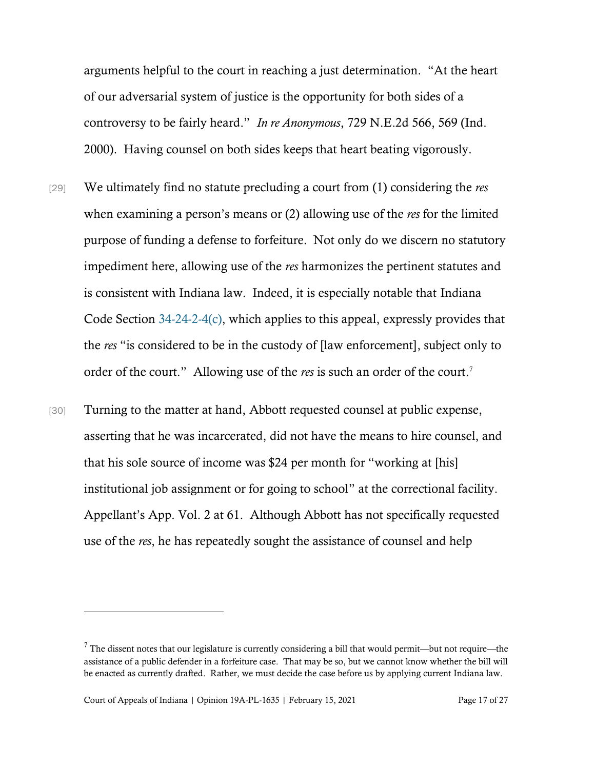arguments helpful to the court in reaching a just determination. "At the heart of our adversarial system of justice is the opportunity for both sides of a controversy to be fairly heard." *In re Anonymous*, 729 N.E.2d 566, 569 (Ind. 2000). Having counsel on both sides keeps that heart beating vigorously.

- [29] We ultimately find no statute precluding a court from (1) considering the *res* when examining a person's means or (2) allowing use of the *res* for the limited purpose of funding a defense to forfeiture. Not only do we discern no statutory impediment here, allowing use of the *res* harmonizes the pertinent statutes and is consistent with Indiana law. Indeed, it is especially notable that Indiana Code Section [34-24-2-4\(c\),](https://www.westlaw.com/Document/N48D4B700816D11DB8132CD13D2280436/View/FullText.html?transitionType=Default&contextData=(sc.Default)&VR=3.0&RS=da3.0) which applies to this appeal, expressly provides that the *res* "is considered to be in the custody of [law enforcement], subject only to order of the court." Allowing use of the *res* is such an order of the court. 7
- [30] Turning to the matter at hand, Abbott requested counsel at public expense, asserting that he was incarcerated, did not have the means to hire counsel, and that his sole source of income was \$24 per month for "working at [his] institutional job assignment or for going to school" at the correctional facility. Appellant's App. Vol. 2 at 61. Although Abbott has not specifically requested use of the *res*, he has repeatedly sought the assistance of counsel and help

<sup>&</sup>lt;sup>7</sup> The dissent notes that our legislature is currently considering a bill that would permit—but not require—the assistance of a public defender in a forfeiture case. That may be so, but we cannot know whether the bill will be enacted as currently drafted. Rather, we must decide the case before us by applying current Indiana law.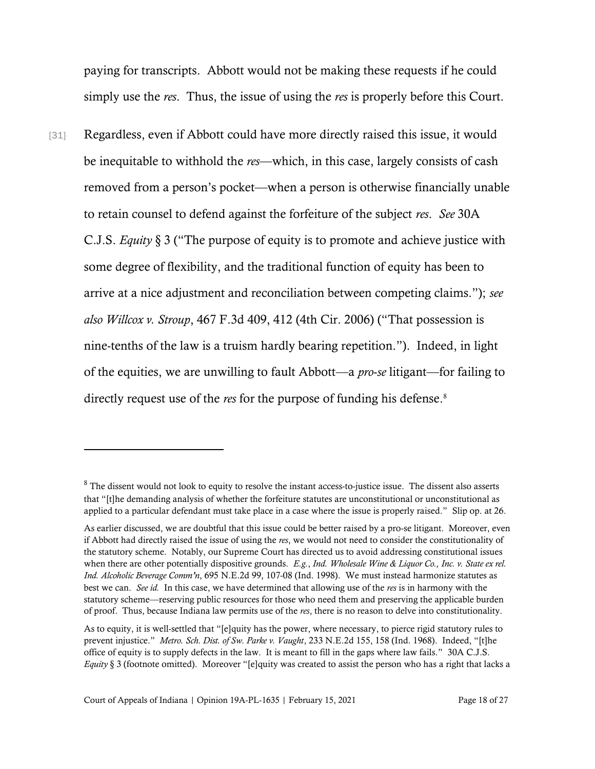paying for transcripts. Abbott would not be making these requests if he could simply use the *res*. Thus, the issue of using the *res* is properly before this Court.

[31] Regardless, even if Abbott could have more directly raised this issue, it would be inequitable to withhold the *res*—which, in this case, largely consists of cash removed from a person's pocket—when a person is otherwise financially unable to retain counsel to defend against the forfeiture of the subject *res*. *See* 30A C.J.S. *Equity* § 3 ("The purpose of equity is to promote and achieve justice with some degree of flexibility, and the traditional function of equity has been to arrive at a nice adjustment and reconciliation between competing claims."); *see also Willcox v. Stroup*, 467 F.3d 409, 412 (4th Cir. 2006) ("That possession is nine-tenths of the law is a truism hardly bearing repetition."). Indeed, in light of the equities, we are unwilling to fault Abbott—a *pro*-*se* litigant—for failing to directly request use of the *res* for the purpose of funding his defense.<sup>8</sup>

<sup>&</sup>lt;sup>8</sup> The dissent would not look to equity to resolve the instant access-to-justice issue. The dissent also asserts that "[t]he demanding analysis of whether the forfeiture statutes are unconstitutional or unconstitutional as applied to a particular defendant must take place in a case where the issue is properly raised." Slip op. at 26.

As earlier discussed, we are doubtful that this issue could be better raised by a pro-se litigant. Moreover, even if Abbott had directly raised the issue of using the *res*, we would not need to consider the constitutionality of the statutory scheme. Notably, our Supreme Court has directed us to avoid addressing constitutional issues when there are other potentially dispositive grounds. *E.g.*, *Ind. Wholesale Wine & Liquor Co., Inc. v. State ex rel. Ind. Alcoholic Beverage Comm'n*, 695 N.E.2d 99, 107-08 (Ind. 1998). We must instead harmonize statutes as best we can. *See id.* In this case, we have determined that allowing use of the *res* is in harmony with the statutory scheme—reserving public resources for those who need them and preserving the applicable burden of proof. Thus, because Indiana law permits use of the *res*, there is no reason to delve into constitutionality.

As to equity, it is well-settled that "[e]quity has the power, where necessary, to pierce rigid statutory rules to prevent injustice." *Metro. Sch. Dist. of Sw. Parke v. Vaught*, 233 N.E.2d 155, 158 (Ind. 1968). Indeed, "[t]he office of equity is to supply defects in the law. It is meant to fill in the gaps where law fails." 30A C.J.S. *Equity* § 3 (footnote omitted). Moreover "[e]quity was created to assist the person who has a right that lacks a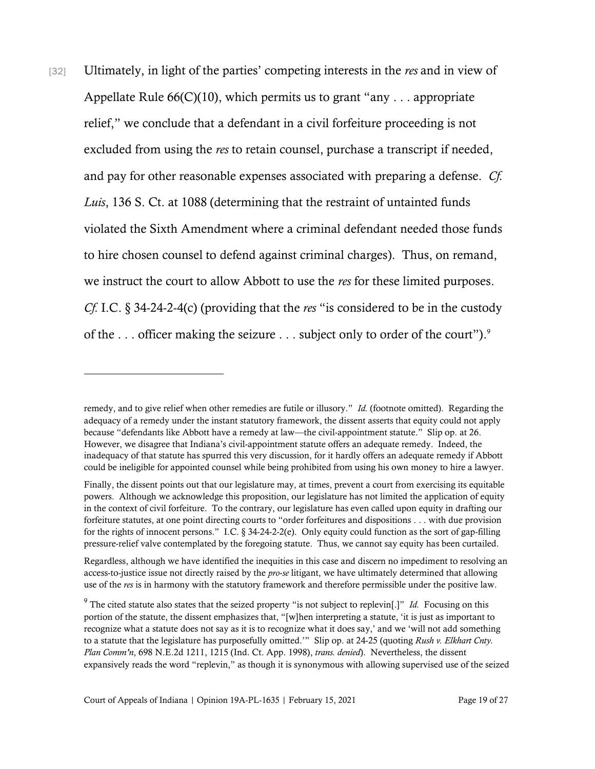[32] Ultimately, in light of the parties' competing interests in the *res* and in view of Appellate Rule  $66(C)(10)$ , which permits us to grant "any . . . appropriate" relief," we conclude that a defendant in a civil forfeiture proceeding is not excluded from using the *res* to retain counsel, purchase a transcript if needed, and pay for other reasonable expenses associated with preparing a defense. *Cf. Luis*, 136 S. Ct. at 1088 (determining that the restraint of untainted funds violated the Sixth Amendment where a criminal defendant needed those funds to hire chosen counsel to defend against criminal charges). Thus, on remand, we instruct the court to allow Abbott to use the *res* for these limited purposes. *Cf.* I.C. § 34-24-2-4(c) (providing that the *res* "is considered to be in the custody of the . . . officer making the seizure . . . subject only to order of the court"). 9

remedy, and to give relief when other remedies are futile or illusory." *Id.* (footnote omitted). Regarding the adequacy of a remedy under the instant statutory framework, the dissent asserts that equity could not apply because "defendants like Abbott have a remedy at law—the civil-appointment statute." Slip op. at 26. However, we disagree that Indiana's civil-appointment statute offers an adequate remedy. Indeed, the inadequacy of that statute has spurred this very discussion, for it hardly offers an adequate remedy if Abbott could be ineligible for appointed counsel while being prohibited from using his own money to hire a lawyer.

Finally, the dissent points out that our legislature may, at times, prevent a court from exercising its equitable powers. Although we acknowledge this proposition, our legislature has not limited the application of equity in the context of civil forfeiture. To the contrary, our legislature has even called upon equity in drafting our forfeiture statutes, at one point directing courts to "order forfeitures and dispositions . . . with due provision for the rights of innocent persons." I.C.  $\S 34-24-2-2(e)$ . Only equity could function as the sort of gap-filling pressure-relief valve contemplated by the foregoing statute. Thus, we cannot say equity has been curtailed.

Regardless, although we have identified the inequities in this case and discern no impediment to resolving an access-to-justice issue not directly raised by the *pro*-*se* litigant, we have ultimately determined that allowing use of the *res* is in harmony with the statutory framework and therefore permissible under the positive law.

<sup>&</sup>lt;sup>9</sup> The cited statute also states that the seized property "is not subject to replevin[.]" *Id.* Focusing on this portion of the statute, the dissent emphasizes that, "[w]hen interpreting a statute, 'it is just as important to recognize what a statute does not say as it is to recognize what it does say,' and we 'will not add something to a statute that the legislature has purposefully omitted.'" Slip op. at 24-25 (quoting *Rush v. Elkhart Cnty. Plan Comm'n*, 698 N.E.2d 1211, 1215 (Ind. Ct. App. 1998), *trans. denied*). Nevertheless, the dissent expansively reads the word "replevin," as though it is synonymous with allowing supervised use of the seized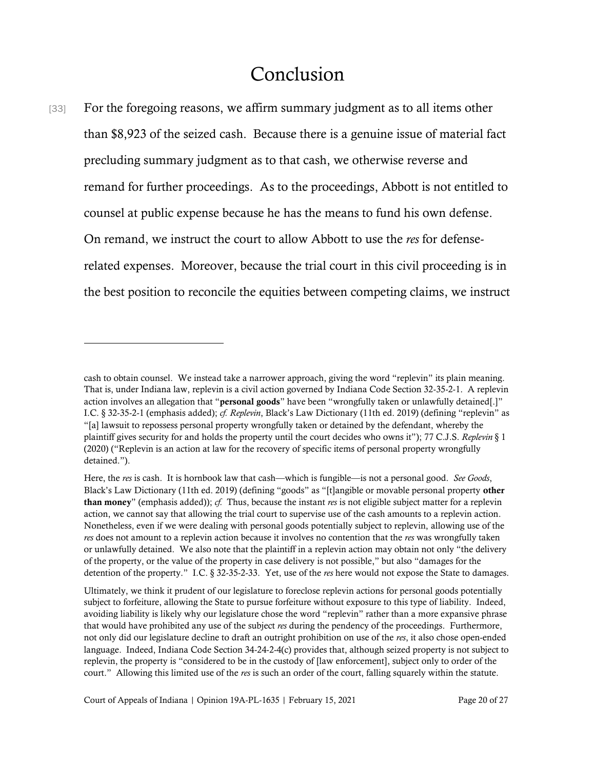# Conclusion

[33] For the foregoing reasons, we affirm summary judgment as to all items other than \$8,923 of the seized cash. Because there is a genuine issue of material fact precluding summary judgment as to that cash, we otherwise reverse and remand for further proceedings. As to the proceedings, Abbott is not entitled to counsel at public expense because he has the means to fund his own defense. On remand, we instruct the court to allow Abbott to use the *res* for defenserelated expenses. Moreover, because the trial court in this civil proceeding is in the best position to reconcile the equities between competing claims, we instruct

Court of Appeals of Indiana | Opinion 19A-PL-1635 | February 15, 2021 Page 20 of 27

cash to obtain counsel. We instead take a narrower approach, giving the word "replevin" its plain meaning. That is, under Indiana law, replevin is a civil action governed by Indiana Code Section 32-35-2-1. A replevin action involves an allegation that "personal goods" have been "wrongfully taken or unlawfully detained[.]" I.C. § 32-35-2-1 (emphasis added); *cf. Replevin*, Black's Law Dictionary (11th ed. 2019) (defining "replevin" as "[a] lawsuit to repossess personal property wrongfully taken or detained by the defendant, whereby the plaintiff gives security for and holds the property until the court decides who owns it"); 77 C.J.S. *Replevin* § 1 (2020) ("Replevin is an action at law for the recovery of specific items of personal property wrongfully detained.").

Here, the *res* is cash. It is hornbook law that cash—which is fungible—is not a personal good. *See Goods*, Black's Law Dictionary (11th ed. 2019) (defining "goods" as "[t]angible or movable personal property other than money" (emphasis added)); *cf.* Thus, because the instant *res* is not eligible subject matter for a replevin action, we cannot say that allowing the trial court to supervise use of the cash amounts to a replevin action. Nonetheless, even if we were dealing with personal goods potentially subject to replevin, allowing use of the *res* does not amount to a replevin action because it involves no contention that the *res* was wrongfully taken or unlawfully detained. We also note that the plaintiff in a replevin action may obtain not only "the delivery of the property, or the value of the property in case delivery is not possible," but also "damages for the detention of the property." I.C. § 32-35-2-33. Yet, use of the *res* here would not expose the State to damages.

Ultimately, we think it prudent of our legislature to foreclose replevin actions for personal goods potentially subject to forfeiture, allowing the State to pursue forfeiture without exposure to this type of liability. Indeed, avoiding liability is likely why our legislature chose the word "replevin" rather than a more expansive phrase that would have prohibited any use of the subject *res* during the pendency of the proceedings. Furthermore, not only did our legislature decline to draft an outright prohibition on use of the *res*, it also chose open-ended language. Indeed, Indiana Code Section 34-24-2-4(c) provides that, although seized property is not subject to replevin, the property is "considered to be in the custody of [law enforcement], subject only to order of the court." Allowing this limited use of the *res* is such an order of the court, falling squarely within the statute.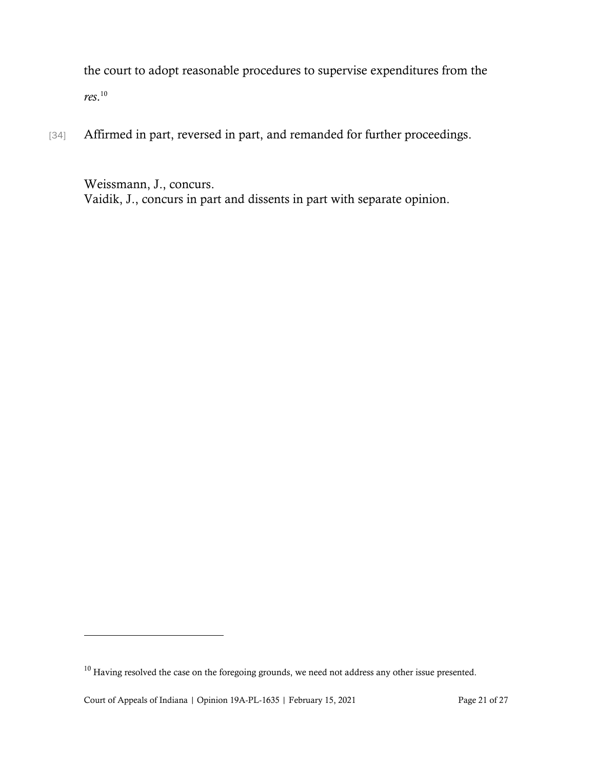the court to adopt reasonable procedures to supervise expenditures from the *res*. 10

[34] Affirmed in part, reversed in part, and remanded for further proceedings.

Weissmann, J., concurs. Vaidik, J., concurs in part and dissents in part with separate opinion.

 $^{10}$  Having resolved the case on the foregoing grounds, we need not address any other issue presented.

Court of Appeals of Indiana | Opinion 19A-PL-1635 | February 15, 2021 Page 21 of 27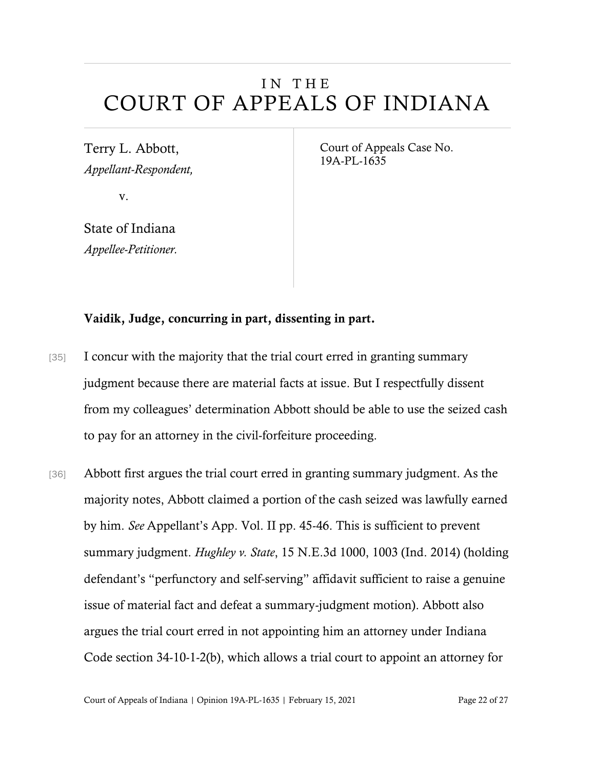# IN THE COURT OF APPEALS OF INDIANA

Terry L. Abbott, *Appellant-Respondent,*

v.

State of Indiana *Appellee-Petitioner.* Court of Appeals Case No. 19A-PL-1635

### Vaidik, Judge, concurring in part, dissenting in part.

- [35] I concur with the majority that the trial court erred in granting summary judgment because there are material facts at issue. But I respectfully dissent from my colleagues' determination Abbott should be able to use the seized cash to pay for an attorney in the civil-forfeiture proceeding.
- [36] Abbott first argues the trial court erred in granting summary judgment. As the majority notes, Abbott claimed a portion of the cash seized was lawfully earned by him. *See* Appellant's App. Vol. II pp. 45-46. This is sufficient to prevent summary judgment. *Hughley v. State*, 15 N.E.3d 1000, 1003 (Ind. 2014) (holding defendant's "perfunctory and self-serving" affidavit sufficient to raise a genuine issue of material fact and defeat a summary-judgment motion). Abbott also argues the trial court erred in not appointing him an attorney under Indiana Code section 34-10-1-2(b), which allows a trial court to appoint an attorney for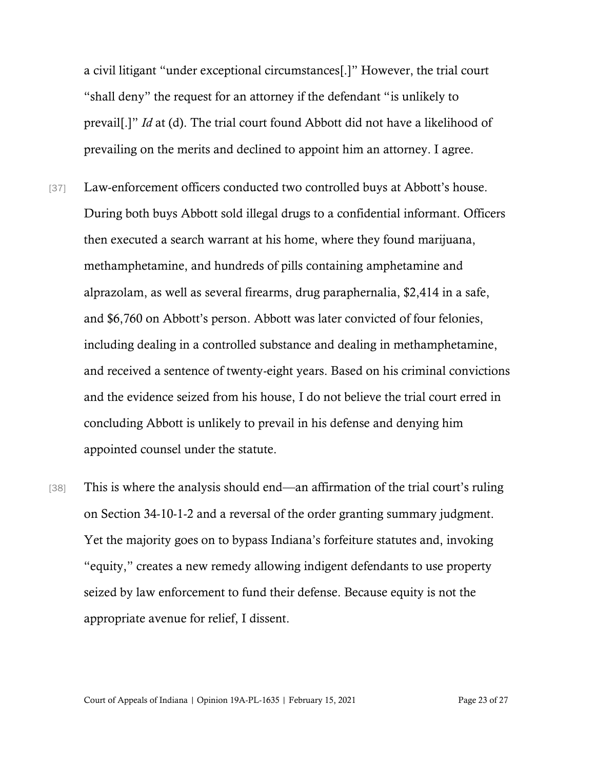a civil litigant "under exceptional circumstances[.]" However, the trial court "shall deny" the request for an attorney if the defendant "is unlikely to prevail[.]" *Id* at (d). The trial court found Abbott did not have a likelihood of prevailing on the merits and declined to appoint him an attorney. I agree.

- [37] Law-enforcement officers conducted two controlled buys at Abbott's house. During both buys Abbott sold illegal drugs to a confidential informant. Officers then executed a search warrant at his home, where they found marijuana, methamphetamine, and hundreds of pills containing amphetamine and alprazolam, as well as several firearms, drug paraphernalia, \$2,414 in a safe, and \$6,760 on Abbott's person. Abbott was later convicted of four felonies, including dealing in a controlled substance and dealing in methamphetamine, and received a sentence of twenty-eight years. Based on his criminal convictions and the evidence seized from his house, I do not believe the trial court erred in concluding Abbott is unlikely to prevail in his defense and denying him appointed counsel under the statute.
- [38] This is where the analysis should end—an affirmation of the trial court's ruling on Section 34-10-1-2 and a reversal of the order granting summary judgment. Yet the majority goes on to bypass Indiana's forfeiture statutes and, invoking "equity," creates a new remedy allowing indigent defendants to use property seized by law enforcement to fund their defense. Because equity is not the appropriate avenue for relief, I dissent.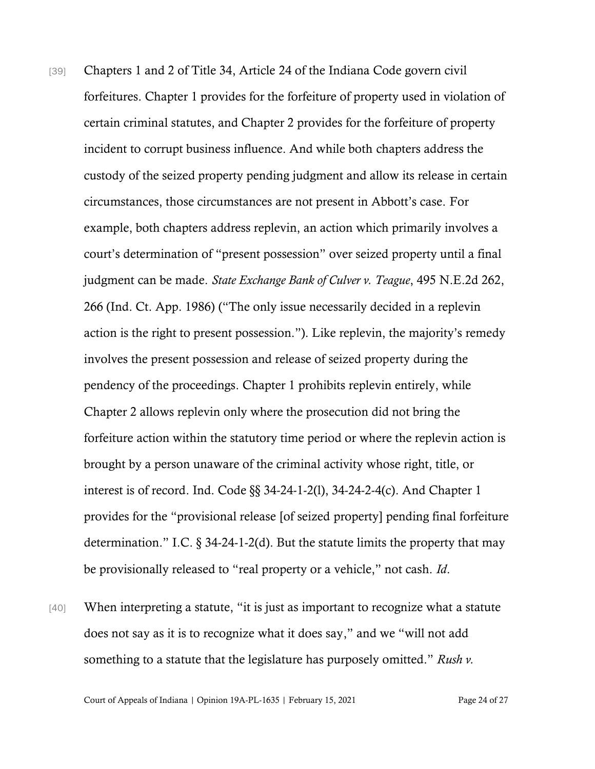- [39] Chapters 1 and 2 of Title 34, Article 24 of the Indiana Code govern civil forfeitures. Chapter 1 provides for the forfeiture of property used in violation of certain criminal statutes, and Chapter 2 provides for the forfeiture of property incident to corrupt business influence. And while both chapters address the custody of the seized property pending judgment and allow its release in certain circumstances, those circumstances are not present in Abbott's case. For example, both chapters address replevin, an action which primarily involves a court's determination of "present possession" over seized property until a final judgment can be made. *State Exchange Bank of Culver v. Teague*, 495 N.E.2d 262, 266 (Ind. Ct. App. 1986) ("The only issue necessarily decided in a replevin action is the right to present possession."). Like replevin, the majority's remedy involves the present possession and release of seized property during the pendency of the proceedings. Chapter 1 prohibits replevin entirely, while Chapter 2 allows replevin only where the prosecution did not bring the forfeiture action within the statutory time period or where the replevin action is brought by a person unaware of the criminal activity whose right, title, or interest is of record. Ind. Code §§ 34-24-1-2(l), 34-24-2-4(c). And Chapter 1 provides for the "provisional release [of seized property] pending final forfeiture determination." I.C. § 34-24-1-2(d). But the statute limits the property that may be provisionally released to "real property or a vehicle," not cash. *Id*.
- [40] When interpreting a statute, "it is just as important to recognize what a statute does not say as it is to recognize what it does say," and we "will not add something to a statute that the legislature has purposely omitted." *Rush v.*

Court of Appeals of Indiana | Opinion 19A-PL-1635 | February 15, 2021 Page 24 of 27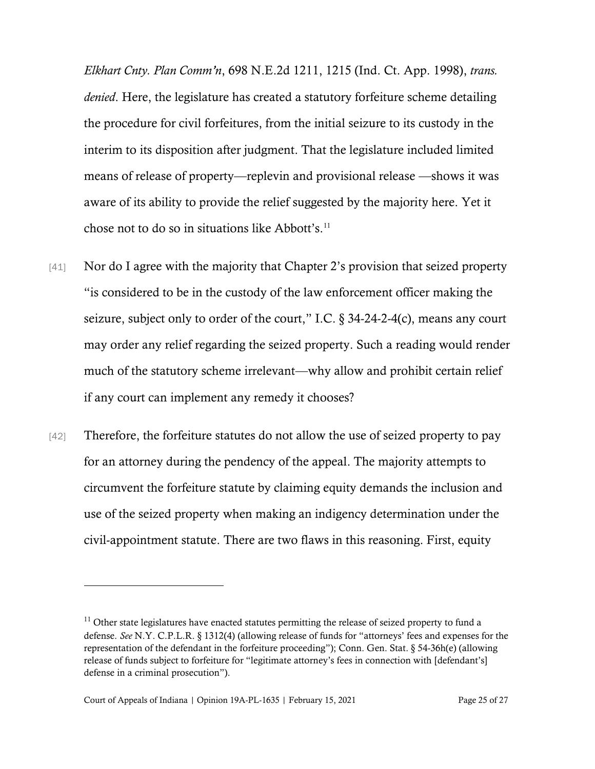*Elkhart Cnty. Plan Comm'n*, 698 N.E.2d 1211, 1215 (Ind. Ct. App. 1998), *trans. denied*. Here, the legislature has created a statutory forfeiture scheme detailing the procedure for civil forfeitures, from the initial seizure to its custody in the interim to its disposition after judgment. That the legislature included limited means of release of property—replevin and provisional release —shows it was aware of its ability to provide the relief suggested by the majority here. Yet it chose not to do so in situations like Abbott's.<sup>11</sup>

- [41] Nor do I agree with the majority that Chapter 2's provision that seized property "is considered to be in the custody of the law enforcement officer making the seizure, subject only to order of the court," I.C.  $\S$  34-24-2-4(c), means any court may order any relief regarding the seized property. Such a reading would render much of the statutory scheme irrelevant—why allow and prohibit certain relief if any court can implement any remedy it chooses?
- [42] Therefore, the forfeiture statutes do not allow the use of seized property to pay for an attorney during the pendency of the appeal. The majority attempts to circumvent the forfeiture statute by claiming equity demands the inclusion and use of the seized property when making an indigency determination under the civil-appointment statute. There are two flaws in this reasoning. First, equity

 $11$  Other state legislatures have enacted statutes permitting the release of seized property to fund a defense. *See* N.Y. C.P.L.R. § 1312(4) (allowing release of funds for "attorneys' fees and expenses for the representation of the defendant in the forfeiture proceeding"); Conn. Gen. Stat. § 54-36h(e) (allowing release of funds subject to forfeiture for "legitimate attorney's fees in connection with [defendant's] defense in a criminal prosecution").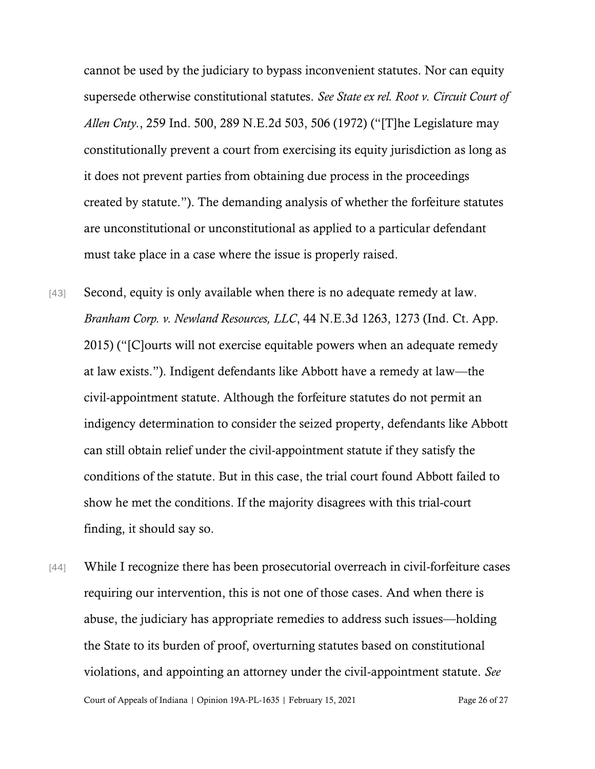cannot be used by the judiciary to bypass inconvenient statutes. Nor can equity supersede otherwise constitutional statutes. *See State ex rel. Root v. Circuit Court of Allen Cnty.*, 259 Ind. 500, 289 N.E.2d 503, 506 (1972) ("[T]he Legislature may constitutionally prevent a court from exercising its equity jurisdiction as long as it does not prevent parties from obtaining due process in the proceedings created by statute."). The demanding analysis of whether the forfeiture statutes are unconstitutional or unconstitutional as applied to a particular defendant must take place in a case where the issue is properly raised.

- [43] Second, equity is only available when there is no adequate remedy at law. *Branham Corp. v. Newland Resources, LLC*, 44 N.E.3d 1263, 1273 (Ind. Ct. App. 2015) ("[C]ourts will not exercise equitable powers when an adequate remedy at law exists."). Indigent defendants like Abbott have a remedy at law—the civil-appointment statute. Although the forfeiture statutes do not permit an indigency determination to consider the seized property, defendants like Abbott can still obtain relief under the civil-appointment statute if they satisfy the conditions of the statute. But in this case, the trial court found Abbott failed to show he met the conditions. If the majority disagrees with this trial-court finding, it should say so.
- Court of Appeals of Indiana | Opinion 19A-PL-1635 | February 15, 2021 Page 26 of 27 [44] While I recognize there has been prosecutorial overreach in civil-forfeiture cases requiring our intervention, this is not one of those cases. And when there is abuse, the judiciary has appropriate remedies to address such issues—holding the State to its burden of proof, overturning statutes based on constitutional violations, and appointing an attorney under the civil-appointment statute. *See*